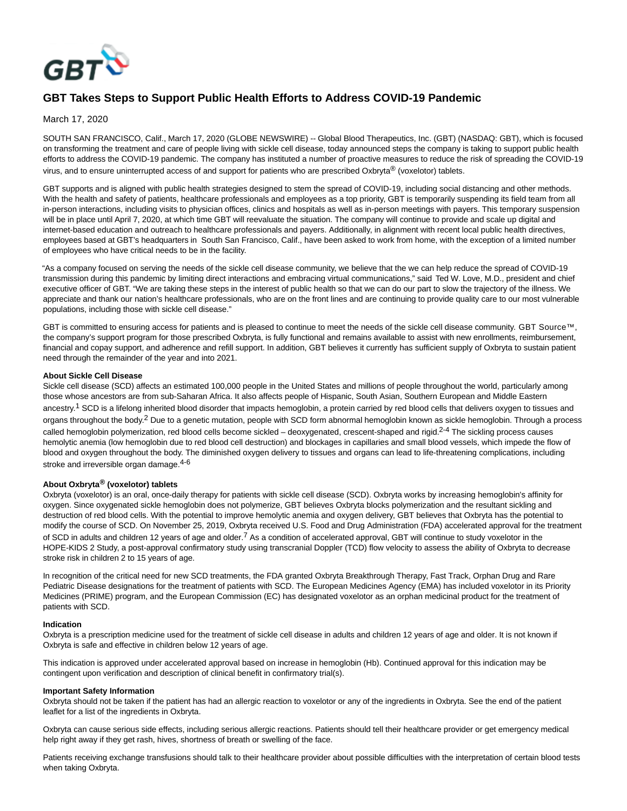

# **GBT Takes Steps to Support Public Health Efforts to Address COVID-19 Pandemic**

# March 17, 2020

SOUTH SAN FRANCISCO, Calif., March 17, 2020 (GLOBE NEWSWIRE) -- Global Blood Therapeutics, Inc. (GBT) (NASDAQ: GBT), which is focused on transforming the treatment and care of people living with sickle cell disease, today announced steps the company is taking to support public health efforts to address the COVID-19 pandemic. The company has instituted a number of proactive measures to reduce the risk of spreading the COVID-19 virus, and to ensure uninterrupted access of and support for patients who are prescribed Oxbryta<sup>®</sup> (voxelotor) tablets.

GBT supports and is aligned with public health strategies designed to stem the spread of COVID-19, including social distancing and other methods. With the health and safety of patients, healthcare professionals and employees as a top priority, GBT is temporarily suspending its field team from all in-person interactions, including visits to physician offices, clinics and hospitals as well as in-person meetings with payers. This temporary suspension will be in place until April 7, 2020, at which time GBT will reevaluate the situation. The company will continue to provide and scale up digital and internet-based education and outreach to healthcare professionals and payers. Additionally, in alignment with recent local public health directives, employees based at GBT's headquarters in South San Francisco, Calif., have been asked to work from home, with the exception of a limited number of employees who have critical needs to be in the facility.

"As a company focused on serving the needs of the sickle cell disease community, we believe that the we can help reduce the spread of COVID-19 transmission during this pandemic by limiting direct interactions and embracing virtual communications," said Ted W. Love, M.D., president and chief executive officer of GBT. "We are taking these steps in the interest of public health so that we can do our part to slow the trajectory of the illness. We appreciate and thank our nation's healthcare professionals, who are on the front lines and are continuing to provide quality care to our most vulnerable populations, including those with sickle cell disease."

GBT is committed to ensuring access for patients and is pleased to continue to meet the needs of the sickle cell disease community. GBT Source™, the company's support program for those prescribed Oxbryta, is fully functional and remains available to assist with new enrollments, reimbursement, financial and copay support, and adherence and refill support. In addition, GBT believes it currently has sufficient supply of Oxbryta to sustain patient need through the remainder of the year and into 2021.

## **About Sickle Cell Disease**

Sickle cell disease (SCD) affects an estimated 100,000 people in the United States and millions of people throughout the world, particularly among those whose ancestors are from sub-Saharan Africa. It also affects people of Hispanic, South Asian, Southern European and Middle Eastern ancestry.<sup>1</sup> SCD is a lifelong inherited blood disorder that impacts hemoglobin, a protein carried by red blood cells that delivers oxygen to tissues and organs throughout the body.<sup>2</sup> Due to a genetic mutation, people with SCD form abnormal hemoglobin known as sickle hemoglobin. Through a process called hemoglobin polymerization, red blood cells become sickled - deoxygenated, crescent-shaped and rigid.<sup>2-4</sup> The sickling process causes hemolytic anemia (low hemoglobin due to red blood cell destruction) and blockages in capillaries and small blood vessels, which impede the flow of blood and oxygen throughout the body. The diminished oxygen delivery to tissues and organs can lead to life-threatening complications, including stroke and irreversible organ damage.<sup>4-6</sup>

# **About Oxbryta® (voxelotor) tablets**

Oxbryta (voxelotor) is an oral, once-daily therapy for patients with sickle cell disease (SCD). Oxbryta works by increasing hemoglobin's affinity for oxygen. Since oxygenated sickle hemoglobin does not polymerize, GBT believes Oxbryta blocks polymerization and the resultant sickling and destruction of red blood cells. With the potential to improve hemolytic anemia and oxygen delivery, GBT believes that Oxbryta has the potential to modify the course of SCD. On November 25, 2019, Oxbryta received U.S. Food and Drug Administration (FDA) accelerated approval for the treatment of SCD in adults and children 12 years of age and older.<sup>7</sup> As a condition of accelerated approval, GBT will continue to study voxelotor in the HOPE-KIDS 2 Study, a post-approval confirmatory study using transcranial Doppler (TCD) flow velocity to assess the ability of Oxbryta to decrease stroke risk in children 2 to 15 years of age.

In recognition of the critical need for new SCD treatments, the FDA granted Oxbryta Breakthrough Therapy, Fast Track, Orphan Drug and Rare Pediatric Disease designations for the treatment of patients with SCD. The European Medicines Agency (EMA) has included voxelotor in its Priority Medicines (PRIME) program, and the European Commission (EC) has designated voxelotor as an orphan medicinal product for the treatment of patients with SCD.

#### **Indication**

Oxbryta is a prescription medicine used for the treatment of sickle cell disease in adults and children 12 years of age and older. It is not known if Oxbryta is safe and effective in children below 12 years of age.

This indication is approved under accelerated approval based on increase in hemoglobin (Hb). Continued approval for this indication may be contingent upon verification and description of clinical benefit in confirmatory trial(s).

#### **Important Safety Information**

Oxbryta should not be taken if the patient has had an allergic reaction to voxelotor or any of the ingredients in Oxbryta. See the end of the patient leaflet for a list of the ingredients in Oxbryta.

Oxbryta can cause serious side effects, including serious allergic reactions. Patients should tell their healthcare provider or get emergency medical help right away if they get rash, hives, shortness of breath or swelling of the face.

Patients receiving exchange transfusions should talk to their healthcare provider about possible difficulties with the interpretation of certain blood tests when taking Oxbryta.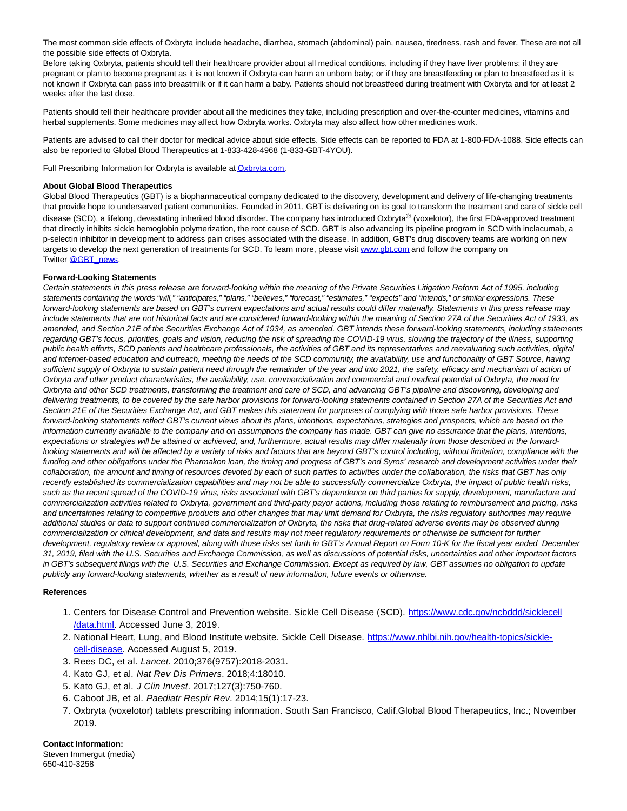The most common side effects of Oxbryta include headache, diarrhea, stomach (abdominal) pain, nausea, tiredness, rash and fever. These are not all the possible side effects of Oxbryta.

Before taking Oxbryta, patients should tell their healthcare provider about all medical conditions, including if they have liver problems; if they are pregnant or plan to become pregnant as it is not known if Oxbryta can harm an unborn baby; or if they are breastfeeding or plan to breastfeed as it is not known if Oxbryta can pass into breastmilk or if it can harm a baby. Patients should not breastfeed during treatment with Oxbryta and for at least 2 weeks after the last dose.

Patients should tell their healthcare provider about all the medicines they take, including prescription and over-the-counter medicines, vitamins and herbal supplements. Some medicines may affect how Oxbryta works. Oxbryta may also affect how other medicines work.

Patients are advised to call their doctor for medical advice about side effects. Side effects can be reported to FDA at 1-800-FDA-1088. Side effects can also be reported to Global Blood Therapeutics at 1-833-428-4968 (1-833-GBT-4YOU).

Full Prescribing Information for Oxbryta is available a[t Oxbryta.com.](https://www.globenewswire.com/Tracker?data=oQ5it-Y137bACBRjoOttFH42NRHnzc6XDJEYnVaOsl2lWlKwiZgiLSwFeP7zgyLgFWrdmuKCCyGOFL0OatYJrWTOEL7-PnSp5E5VE05LEix9wiDxZXXnzB3C7vdHXCgjMMy7JMMUgnFSA9dXWwa3GlTX268qvTR2PxavrBCvHjz4H1kx3zBCwd0taemMnHs3BevqpGRfs5W23uKg-jsBtvlo7nBk6dKwgBzYzw7Strc=)

## **About Global Blood Therapeutics**

Global Blood Therapeutics (GBT) is a biopharmaceutical company dedicated to the discovery, development and delivery of life-changing treatments that provide hope to underserved patient communities. Founded in 2011, GBT is delivering on its goal to transform the treatment and care of sickle cell disease (SCD), a lifelong, devastating inherited blood disorder. The company has introduced Oxbryta® (voxelotor), the first FDA-approved treatment that directly inhibits sickle hemoglobin polymerization, the root cause of SCD. GBT is also advancing its pipeline program in SCD with inclacumab, a p-selectin inhibitor in development to address pain crises associated with the disease. In addition, GBT's drug discovery teams are working on new targets to develop the next generation of treatments for SCD. To learn more, please visi[t www.gbt.com a](https://www.globenewswire.com/Tracker?data=7xJegNJT79CPG7dJ7uHxYL9Xf7dVtsSvzppVhnz4lq1jaeIJ-ZSgdcY_HLFetoLUjvjH9FYCnt715ZR2kCLTEkStIJulvLBlvbbFzuhdOqsd3hh0SixwUxtb000s9gXeLsSAXV3vbvNALoE6ln8ZxBFUoxc9m1jg9iMBRGNRz_JrGaJaD2RCq-bj8alJEOXhaJKlr1NAj9yJg7x2uwyzbvtQH7zvUOw_MQuefS-dDaE=)nd follow the company on Twitter [@GBT\\_news.](https://www.globenewswire.com/Tracker?data=3b2ALf1qTYmKpKry2aiEY-7HloMAmNHCPJ1mHdab2JFAh1hYXR9xvx2TW2MwAWVC5iPY5NiXPOFUkVQiY8dkCJ8yspEKEczhriCYzISPce9dSiuijH_d8OYdqTCIsEcPT6f1fmlF7oYYA5FqLHuGDM-UVwtO-vDipdf4IOiU9slDXE8Y-WsdPPFzuUL7lOUgmlJnLcMAAx8jCWGO9BfWHV5OxX-gAg6Nv9oi6i2ppSg=)

## **Forward-Looking Statements**

Certain statements in this press release are forward-looking within the meaning of the Private Securities Litigation Reform Act of 1995, including statements containing the words "will," "anticipates," "plans," "believes," "forecast," "estimates," "expects" and "intends," or similar expressions. These forward-looking statements are based on GBT's current expectations and actual results could differ materially. Statements in this press release may include statements that are not historical facts and are considered forward-looking within the meaning of Section 27A of the Securities Act of 1933, as amended, and Section 21E of the Securities Exchange Act of 1934, as amended. GBT intends these forward-looking statements, including statements regarding GBT's focus, priorities, goals and vision, reducing the risk of spreading the COVID-19 virus, slowing the trajectory of the illness, supporting public health efforts, SCD patients and healthcare professionals, the activities of GBT and its representatives and reevaluating such activities, digital and internet-based education and outreach, meeting the needs of the SCD community, the availability, use and functionality of GBT Source, having sufficient supply of Oxbryta to sustain patient need through the remainder of the year and into 2021, the safety, efficacy and mechanism of action of Oxbryta and other product characteristics, the availability, use, commercialization and commercial and medical potential of Oxbryta, the need for Oxbryta and other SCD treatments, transforming the treatment and care of SCD, and advancing GBT's pipeline and discovering, developing and delivering treatments, to be covered by the safe harbor provisions for forward-looking statements contained in Section 27A of the Securities Act and Section 21E of the Securities Exchange Act, and GBT makes this statement for purposes of complying with those safe harbor provisions. These forward-looking statements reflect GBT's current views about its plans, intentions, expectations, strategies and prospects, which are based on the information currently available to the company and on assumptions the company has made. GBT can give no assurance that the plans, intentions, expectations or strategies will be attained or achieved, and, furthermore, actual results may differ materially from those described in the forwardlooking statements and will be affected by a variety of risks and factors that are beyond GBT's control including, without limitation, compliance with the funding and other obligations under the Pharmakon loan, the timing and progress of GBT's and Syros' research and development activities under their collaboration, the amount and timing of resources devoted by each of such parties to activities under the collaboration, the risks that GBT has only recently established its commercialization capabilities and may not be able to successfully commercialize Oxbryta, the impact of public health risks, such as the recent spread of the COVID-19 virus, risks associated with GBT's dependence on third parties for supply, development, manufacture and commercialization activities related to Oxbryta, government and third-party payor actions, including those relating to reimbursement and pricing, risks and uncertainties relating to competitive products and other changes that may limit demand for Oxbryta, the risks regulatory authorities may require additional studies or data to support continued commercialization of Oxbryta, the risks that drug-related adverse events may be observed during commercialization or clinical development, and data and results may not meet regulatory requirements or otherwise be sufficient for further development, regulatory review or approval, along with those risks set forth in GBT's Annual Report on Form 10-K for the fiscal year ended December 31, 2019, filed with the U.S. Securities and Exchange Commission, as well as discussions of potential risks, uncertainties and other important factors in GBT's subsequent filings with the U.S. Securities and Exchange Commission. Except as required by law, GBT assumes no obligation to update publicly any forward-looking statements, whether as a result of new information, future events or otherwise.

#### **References**

- 1. Centers for Disease Control and Prevention website. Sickle Cell Disease (SCD). [https://www.cdc.gov/ncbddd/sicklecell](https://www.cdc.gov/ncbddd/sicklecell/data.html) /data.html. Accessed June 3, 2019.
- 2. National Heart, Lung, and Blood Institute website. Sickle Cell Disease. [https://www.nhlbi.nih.gov/health-topics/sickle](https://www.nhlbi.nih.gov/health-topics/sickle-cell-disease)cell-disease. Accessed August 5, 2019.
- 3. Rees DC, et al. Lancet. 2010;376(9757):2018-2031.
- 4. Kato GJ, et al. Nat Rev Dis Primers. 2018;4:18010.
- 5. Kato GJ, et al. J Clin Invest. 2017;127(3):750-760.
- 6. Caboot JB, et al. Paediatr Respir Rev. 2014;15(1):17-23.
- 7. Oxbryta (voxelotor) tablets prescribing information. South San Francisco, Calif.Global Blood Therapeutics, Inc.; November 2019.

**Contact Information:** Steven Immergut (media) 650-410-3258